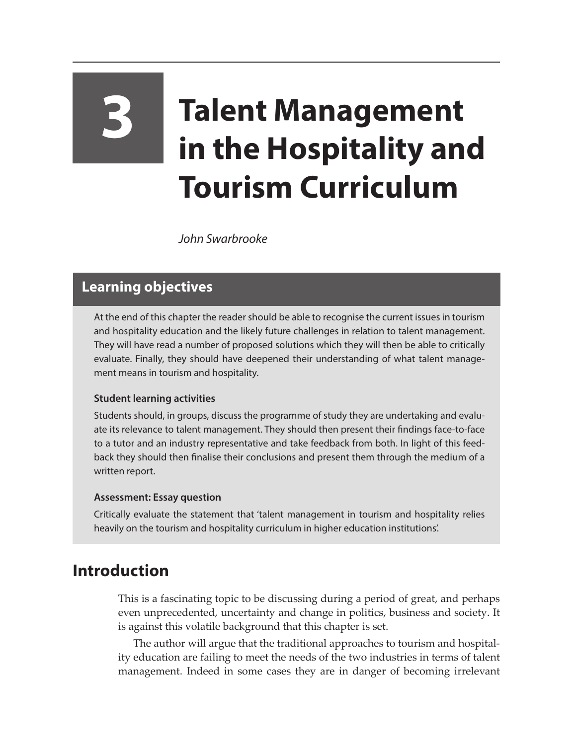# **3 Talent Management in the Hospitality and Tourism Curriculum**

*John Swarbrooke*

# **Learning objectives**

At the end of this chapter the reader should be able to recognise the current issues in tourism and hospitality education and the likely future challenges in relation to talent management. They will have read a number of proposed solutions which they will then be able to critically evaluate. Finally, they should have deepened their understanding of what talent management means in tourism and hospitality.

### **Student learning activities**

Students should, in groups, discuss the programme of study they are undertaking and evaluate its relevance to talent management. They should then present their findings face-to-face to a tutor and an industry representative and take feedback from both. In light of this feedback they should then finalise their conclusions and present them through the medium of a written report.

### **Assessment: Essay question**

Critically evaluate the statement that 'talent management in tourism and hospitality relies heavily on the tourism and hospitality curriculum in higher education institutions'.

# **Introduction**

This is a fascinating topic to be discussing during a period of great, and perhaps even unprecedented, uncertainty and change in politics, business and society. It is against this volatile background that this chapter is set.

The author will argue that the traditional approaches to tourism and hospitality education are failing to meet the needs of the two industries in terms of talent management. Indeed in some cases they are in danger of becoming irrelevant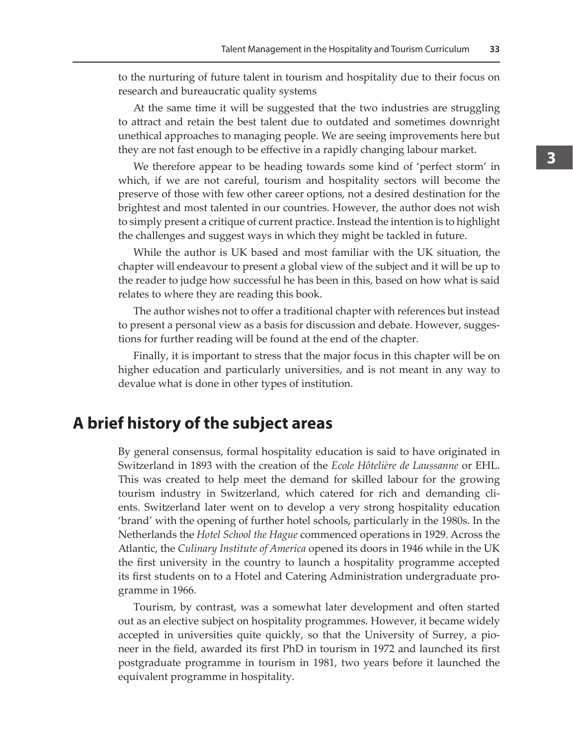to the nurturing of future talent in tourism and hospitality due to their focus on research and bureaucratic quality systems

At the same time it will be suggested that the two industries are struggling to attract and retain the best talent due to outdated and sometimes downright unethical approaches to managing people. We are seeing improvements here but they are not fast enough to be effective in a rapidly changing labour market.

We therefore appear to be heading towards some kind of 'perfect storm' in which, if we are not careful, tourism and hospitality sectors will become the preserve of those with few other career options, not a desired destination for the brightest and most talented in our countries. However, the author does not wish to simply present a critique of current practice. Instead the intention is to highlight the challenges and suggest ways in which they might be tackled in future.

While the author is UK based and most familiar with the UK situation, the chapter will endeavour to present a global view of the subject and it will be up to the reader to judge how successful he has been in this, based on how what is said relates to where they are reading this book.

The author wishes not to offer a traditional chapter with references but instead to present a personal view as a basis for discussion and debate. However, suggestions for further reading will be found at the end of the chapter.

Finally, it is important to stress that the major focus in this chapter will be on higher education and particularly universities, and is not meant in any way to devalue what is done in other types of institution.

# **A brief history of the subject areas**

By general consensus, formal hospitality education is said to have originated in Switzerland in 1893 with the creation of the *Ecole Hôtelière de Laussanne* or EHL. This was created to help meet the demand for skilled labour for the growing tourism industry in Switzerland, which catered for rich and demanding clients. Switzerland later went on to develop a very strong hospitality education 'brand' with the opening of further hotel schools, particularly in the 1980s. In the Netherlands the *Hotel School the Hague* commenced operations in 1929. Across the Atlantic, the *Culinary Institute of America* opened its doors in 1946 while in the UK the first university in the country to launch a hospitality programme accepted its first students on to a Hotel and Catering Administration undergraduate programme in 1966.

Tourism, by contrast, was a somewhat later development and often started out as an elective subject on hospitality programmes. However, it became widely accepted in universities quite quickly, so that the University of Surrey, a pioneer in the field, awarded its first PhD in tourism in 1972 and launched its first postgraduate programme in tourism in 1981, two years before it launched the equivalent programme in hospitality.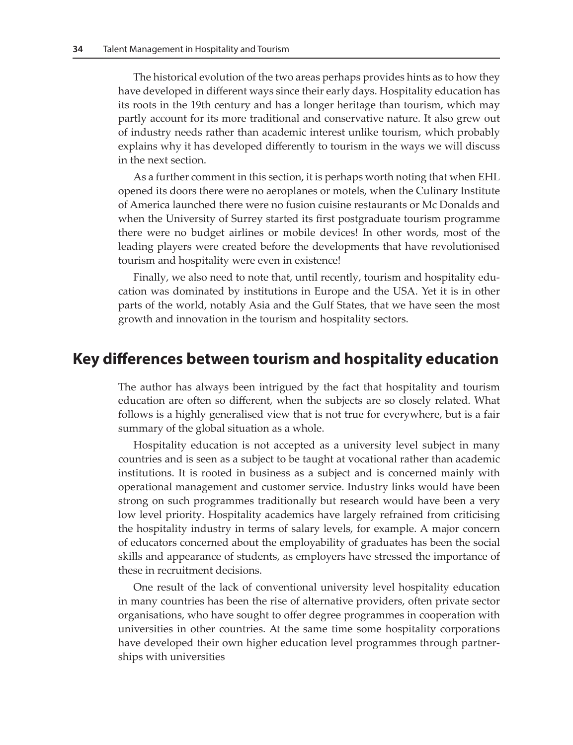The historical evolution of the two areas perhaps provides hints as to how they have developed in different ways since their early days. Hospitality education has its roots in the 19th century and has a longer heritage than tourism, which may partly account for its more traditional and conservative nature. It also grew out of industry needs rather than academic interest unlike tourism, which probably explains why it has developed differently to tourism in the ways we will discuss in the next section.

As a further comment in this section, it is perhaps worth noting that when EHL opened its doors there were no aeroplanes or motels, when the Culinary Institute of America launched there were no fusion cuisine restaurants or Mc Donalds and when the University of Surrey started its first postgraduate tourism programme there were no budget airlines or mobile devices! In other words, most of the leading players were created before the developments that have revolutionised tourism and hospitality were even in existence!

Finally, we also need to note that, until recently, tourism and hospitality education was dominated by institutions in Europe and the USA. Yet it is in other parts of the world, notably Asia and the Gulf States, that we have seen the most growth and innovation in the tourism and hospitality sectors.

## **Key differences between tourism and hospitality education**

The author has always been intrigued by the fact that hospitality and tourism education are often so different, when the subjects are so closely related. What follows is a highly generalised view that is not true for everywhere, but is a fair summary of the global situation as a whole.

Hospitality education is not accepted as a university level subject in many countries and is seen as a subject to be taught at vocational rather than academic institutions. It is rooted in business as a subject and is concerned mainly with operational management and customer service. Industry links would have been strong on such programmes traditionally but research would have been a very low level priority. Hospitality academics have largely refrained from criticising the hospitality industry in terms of salary levels, for example. A major concern of educators concerned about the employability of graduates has been the social skills and appearance of students, as employers have stressed the importance of these in recruitment decisions.

One result of the lack of conventional university level hospitality education in many countries has been the rise of alternative providers, often private sector organisations, who have sought to offer degree programmes in cooperation with universities in other countries. At the same time some hospitality corporations have developed their own higher education level programmes through partnerships with universities